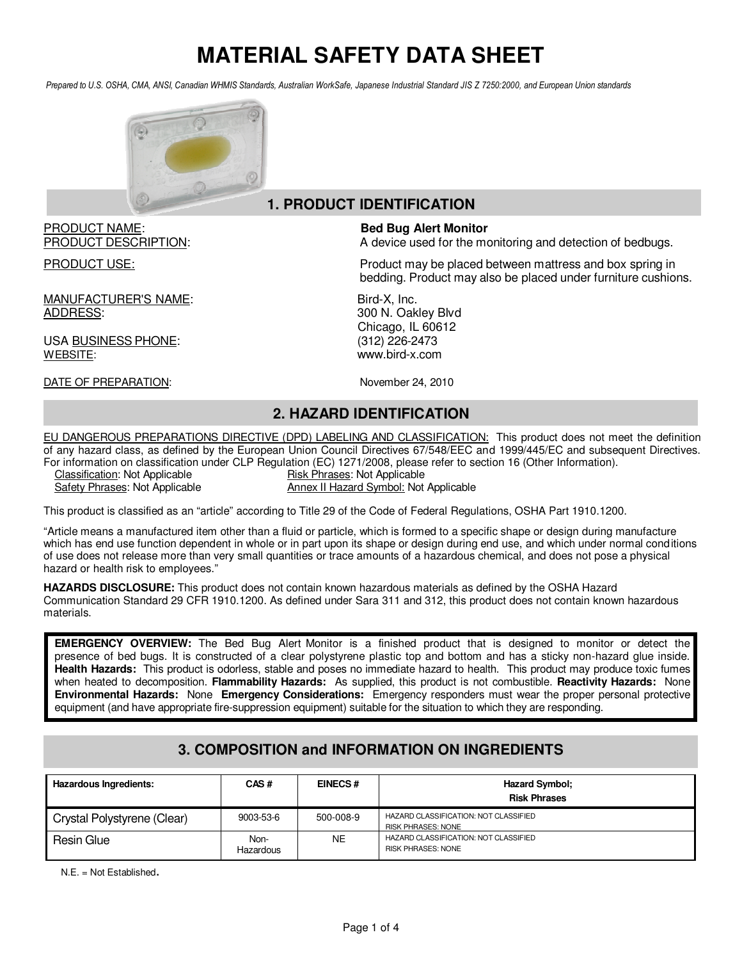Prepared to U.S. OSHA, CMA, ANSI, Canadian WHMIS Standards, Australian WorkSafe, Japanese Industrial Standard JIS Z 7250:2000, and European Union standards



#### **1. PRODUCT IDENTIFICATION**

# PRODUCT NAME: **Bed Bug Alert Monitor**

MANUFACTURER'S NAME: Bird-X, Inc. ADDRESS: 300 N. Oakley Blvd

USA BUSINESS PHONE: WEBSITE: www.bird-x.com

DATE OF PREPARATION: November 24, 2010

PRODUCT DESCRIPTION: A device used for the monitoring and detection of bedbugs.

PRODUCT USE: Product may be placed between mattress and box spring in bedding. Product may also be placed under furniture cushions.

Chicago, IL 60612<br>(312) 226-2473

#### **2. HAZARD IDENTIFICATION**

EU DANGEROUS PREPARATIONS DIRECTIVE (DPD) LABELING AND CLASSIFICATION: This product does not meet the definition of any hazard class, as defined by the European Union Council Directives 67/548/EEC and 1999/445/EC and subsequent Directives. For information on classification under CLP Regulation (EC) 1271/2008, please refer to section 16 (Other Information).<br>Classification: Not Applicable<br>Risk Phrases: Not Applicable

Risk Phrases: Not Applicable Safety Phrases: Not Applicable Annex II Hazard Symbol: Not Applicable

This product is classified as an "article" according to Title 29 of the Code of Federal Regulations, OSHA Part 1910.1200.

"Article means a manufactured item other than a fluid or particle, which is formed to a specific shape or design during manufacture which has end use function dependent in whole or in part upon its shape or design during end use, and which under normal cond itions of use does not release more than very small quantities or trace amounts of a hazardous chemical, and does not pose a physical hazard or health risk to employees."

**HAZARDS DISCLOSURE:** This product does not contain known hazardous materials as defined by the OSHA Hazard Communication Standard 29 CFR 1910.1200. As defined under Sara 311 and 312, this product does not contain known hazardous materials.

**EMERGENCY OVERVIEW:** The Bed Bug Alert Monitor is a finished product that is designed to monitor or detect the presence of bed bugs. It is constructed of a clear polystyrene plastic top and bottom and has a sticky non-hazard glue inside. **Health Hazards:** This product is odorless, stable and poses no immediate hazard to health. This product may produce toxic fumes when heated to decomposition. **Flammability Hazards:** As supplied, this product is not combustible. **Reactivity Hazards:** None **Environmental Hazards:** None **Emergency Considerations:** Emergency responders must wear the proper personal protective equipment (and have appropriate fire-suppression equipment) suitable for the situation to which they are responding.

## **3. COMPOSITION and INFORMATION ON INGREDIENTS**

| Hazardous Ingredients:      | CAS#              | <b>EINECS#</b> | <b>Hazard Symbol:</b><br><b>Risk Phrases</b>                       |
|-----------------------------|-------------------|----------------|--------------------------------------------------------------------|
| Crystal Polystyrene (Clear) | 9003-53-6         | 500-008-9      | HAZARD CLASSIFICATION: NOT CLASSIFIED<br><b>RISK PHRASES: NONE</b> |
| Resin Glue                  | Non-<br>Hazardous | NE.            | HAZARD CLASSIFICATION: NOT CLASSIFIED<br><b>RISK PHRASES: NONE</b> |

N.E. = Not Established.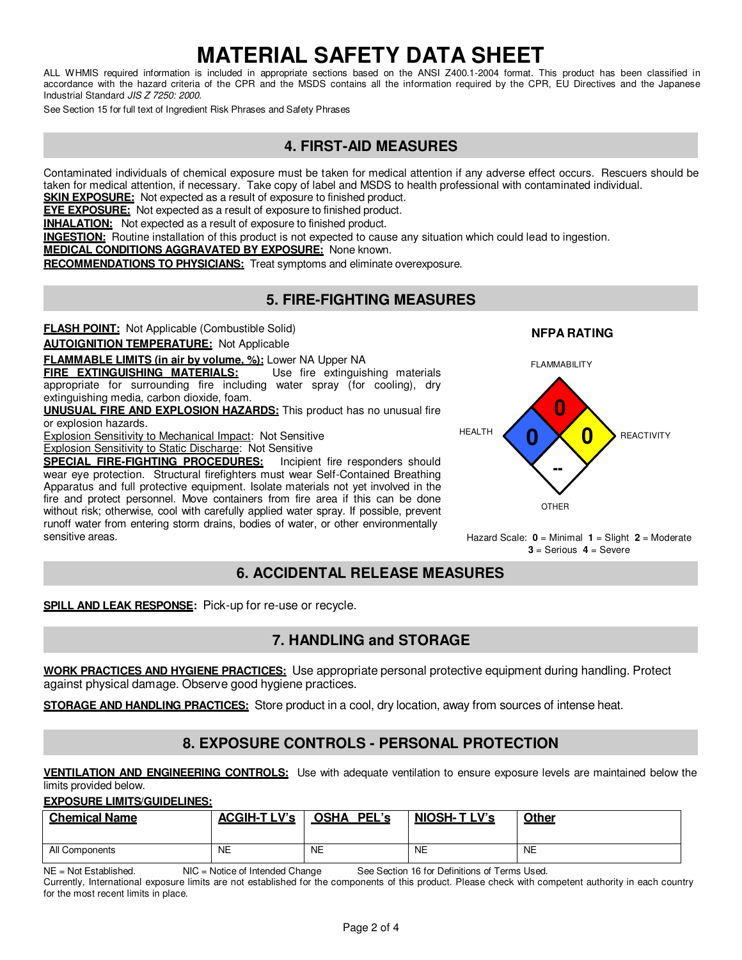ALL WHMIS required information is included in appropriate sections based on the ANSI Z400.1-2004 format. This product has been classified in accordance with the hazard criteria of the CPR and the MSDS contains all the information required by the CPR, EU Directives and the Japanese Industrial Standard JIS Z 7250: 2000.

See Section 15 for full text of Ingredient Risk Phrases and Safety Phrases

#### **4. FIRST-AID MEASURES**

Contaminated individuals of chemical exposure must be taken for medical attention if any adverse effect occurs. Rescuers should be taken for medical attention, if necessary. Take copy of label and MSDS to health professional with contaminated individual.

**SKIN EXPOSURE:** Not expected as a result of exposure to finished product.

**EYE EXPOSURE:** Not expected as a result of exposure to finished product.

**INHALATION:** Not expected as a result of exposure to finished product.

**INGESTION:** Routine installation of this product is not expected to cause any situation which could lead to ingestion.

**MEDICAL CONDITIONS AGGRAVATED BY EXPOSURE:** None known.

**RECOMMENDATIONS TO PHYSICIANS:** Treat symptoms and eliminate overexposure.

#### **5. FIRE-FIGHTING MEASURES**

**FLASH POINT:** Not Applicable (Combustible Solid)

**AUTOIGNITION TEMPERATURE:** Not Applicable

**FLAMMABLE LIMITS (in air by volume, %):** Lower NA Upper NA

**FIRE EXTINGUISHING MATERIALS:** Use fire extinguishing materials appropriate for surrounding fire including water spray (for cooling), dry extinguishing media, carbon dioxide, foam.

**UNUSUAL FIRE AND EXPLOSION HAZARDS:** This product has no unusual fire or explosion hazards.

Explosion Sensitivity to Mechanical Impact: Not Sensitive

Explosion Sensitivity to Static Discharge: Not Sensitive

**SPECIAL FIRE-FIGHTING PROCEDURES:** Incipient fire responders should wear eye protection. Structural firefighters must wear Self-Contained Breathing Apparatus and full protective equipment. Isolate materials not yet involved in the fire and protect personnel. Move containers from fire area if this can be done without risk; otherwise, cool with carefully applied water spray. If possible, prevent runoff water from entering storm drains, bodies of water, or other environmentally sensitive areas. Hazard Scale: **0** = Minimal **1** = Slight **2** = Moderate

**FI AMMABILITY 0 0 × 0** -- **OTHER REACTIVITY** 

**NFPA RATING**

**3** = Serious **4** = Severe

## **6. ACCIDENTAL RELEASE MEASURES**

**SPILL AND LEAK RESPONSE:** Pick-up for re-use or recycle.

## **7. HANDLING and STORAGE**

**WORK PRACTICES AND HYGIENE PRACTICES:** Use appropriate personal protective equipment during handling. Protect against physical damage. Observe good hygiene practices.

**STORAGE AND HANDLING PRACTICES:** Store product in a cool, dry location, away from sources of intense heat.

#### **8. EXPOSURE CONTROLS - PERSONAL PROTECTION**

**VENTILATION AND ENGINEERING CONTROLS:** Use with adequate ventilation to ensure exposure levels are maintained below the limits provided below.

**EXPOSURE LIMITS/GUIDELINES:**

| <b>Chemical Name</b> | $ACGIH-TIV$ | <b>OSHA</b><br>PEL's | <b>NIOSH-TLV's</b> | <b>Other</b> |
|----------------------|-------------|----------------------|--------------------|--------------|
| All Components       | <b>NE</b>   | NE                   | <b>NE</b>          | <b>NE</b>    |

NE = Not Established. NIC = Notice of Intended Change See Section 16 for Definitions of Terms Used.

Currently, International exposure limits are not established for the components of this product. Please check with competent authority in each country for the most recent limits in place.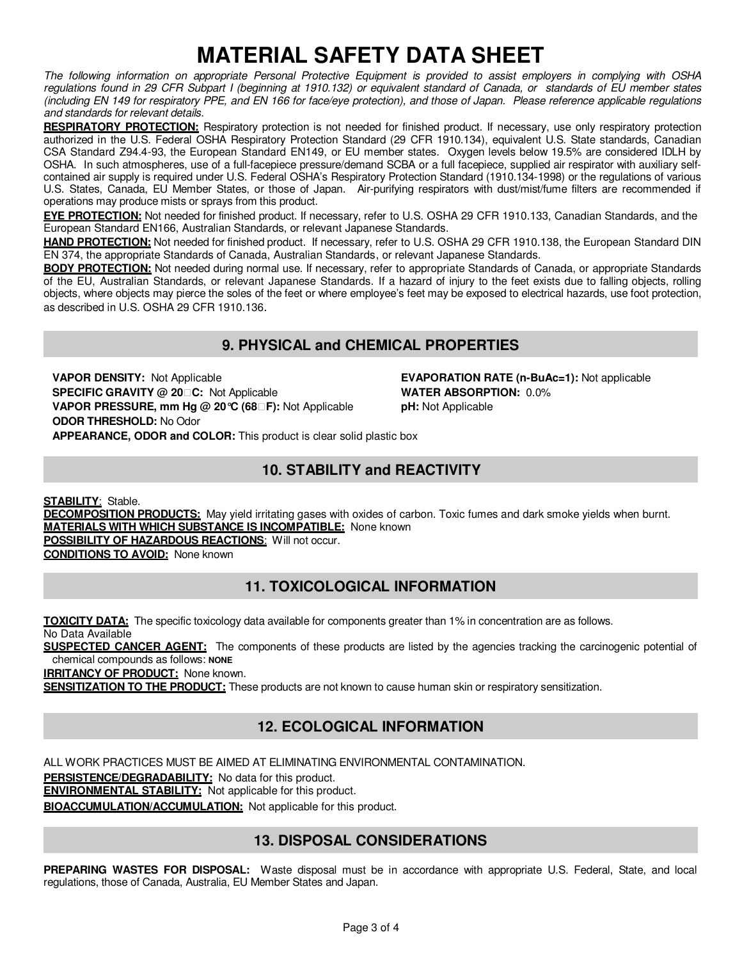The following information on appropriate Personal Protective Equipment is provided to assist employers in complying with OSHA regulations found in 29 CFR Subpart I (beginning at 1910.132) or equivalent standard of Canada, or standards of EU member states (including EN 149 for respiratory PPE, and EN 166 for face/eye protection), and those of Japan. Please reference applicable regulations and standards for relevant details.

**RESPIRATORY PROTECTION:** Respiratory protection is not needed for finished product. If necessary, use only respiratory protection authorized in the U.S. Federal OSHA Respiratory Protection Standard (29 CFR 1910.134), equivalent U.S. State standards, Canadian CSA Standard Z94.4-93, the European Standard EN149, or EU member states. Oxygen levels below 19.5% are considered IDLH by OSHA. In such atmospheres, use of a full-facepiece pressure/demand SCBA or a full facepiece, supplied air respirator with auxiliary selfcontained air supply is required under U.S. Federal OSHA's Respiratory Protection Standard (1910.134-1998) or the regulations of various U.S. States, Canada, EU Member States, or those of Japan. Air-purifying respirators with dust/mist/fume filters are recommended if operations may produce mists or sprays from this product.

**EYE PROTECTION:** Not needed for finished product. If necessary, refer to U.S. OSHA 29 CFR 1910.133, Canadian Standards, and the European Standard EN166, Australian Standards, or relevant Japanese Standards.

**HAND PROTECTION:** Not needed for finished product. If necessary, refer to U.S. OSHA 29 CFR 1910.138, the European Standard DIN EN 374, the appropriate Standards of Canada, Australian Standards, or relevant Japanese Standards.

**BODY PROTECTION:** Not needed during normal use. If necessary, refer to appropriate Standards of Canada, or appropriate Standards of the EU, Australian Standards, or relevant Japanese Standards. If a hazard of injury to the feet exists due to falling objects, rolling objects, where objects may pierce the soles of the feet or where employee's feet may be exposed to electrical hazards, use foot protection, as described in U.S. OSHA 29 CFR 1910.136.

# **9. PHYSICAL and CHEMICAL PROPERTIES**

**VAPOR DENSITY:** Not Applicable **EVAPORATION RATE (n-BuAc=1):** Not applicable **SPECIFIC GRAVITY @ 20C:** Not Applicable **WATER ABSORPTION:** 0.0% **VAPOR PRESSURE, mm Hg @ 20°C (68F):** Not Applicable **pH:** Not Applicable **ODOR THRESHOLD:** No Odor **APPEARANCE, ODOR and COLOR:** This product is clear solid plastic box

## **10. STABILITY and REACTIVITY**

**STABILITY**: Stable.

**DECOMPOSITION PRODUCTS:** May yield irritating gases with oxides of carbon. Toxic fumes and dark smoke yields when burnt. **MATERIALS WITH WHICH SUBSTANCE IS INCOMPATIBLE:** None known

**POSSIBILITY OF HAZARDOUS REACTIONS:** Will not occur. **CONDITIONS TO AVOID:** None known

#### **11. TOXICOLOGICAL INFORMATION**

**TOXICITY DATA:** The specific toxicology data available for components greater than 1% in concentration are as follows. No Data Available

**SUSPECTED CANCER AGENT:** The components of these products are listed by the agencies tracking the carcinogenic potential of chemical compounds as follows: **NONE**

**IRRITANCY OF PRODUCT:** None known.

**SENSITIZATION TO THE PRODUCT:** These products are not known to cause human skin or respiratory sensitization.

## **12. ECOLOGICAL INFORMATION**

ALL WORK PRACTICES MUST BE AIMED AT ELIMINATING ENVIRONMENTAL CONTAMINATION.

**PERSISTENCE/DEGRADABILITY:** No data for this product.

**ENVIRONMENTAL STABILITY:** Not applicable for this product.

**BIOACCUMULATION/ACCUMULATION:** Not applicable for this product.

## **13. DISPOSAL CONSIDERATIONS**

**PREPARING WASTES FOR DISPOSAL:** Waste disposal must be in accordance with appropriate U.S. Federal, State, and local regulations, those of Canada, Australia, EU Member States and Japan.